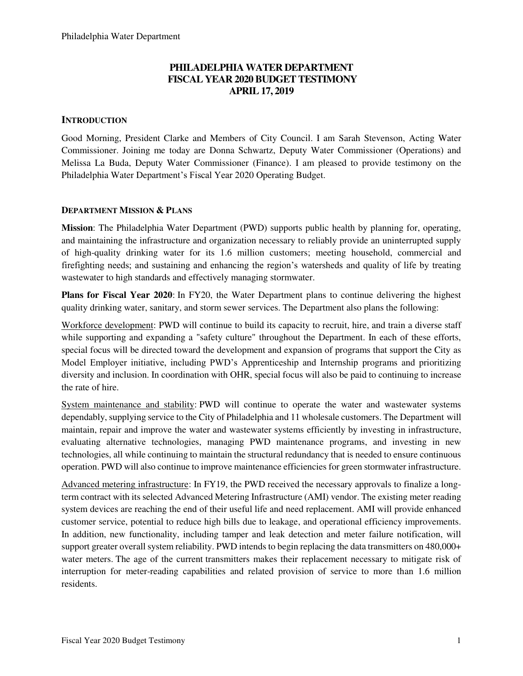## **PHILADELPHIA WATER DEPARTMENT FISCAL YEAR 2020 BUDGET TESTIMONY APRIL 17, 2019**

## **INTRODUCTION**

Good Morning, President Clarke and Members of City Council. I am Sarah Stevenson, Acting Water Commissioner. Joining me today are Donna Schwartz, Deputy Water Commissioner (Operations) and Melissa La Buda, Deputy Water Commissioner (Finance). I am pleased to provide testimony on the Philadelphia Water Department's Fiscal Year 2020 Operating Budget.

## **DEPARTMENT MISSION & PLANS**

**Mission**: The Philadelphia Water Department (PWD) supports public health by planning for, operating, and maintaining the infrastructure and organization necessary to reliably provide an uninterrupted supply of high-quality drinking water for its 1.6 million customers; meeting household, commercial and firefighting needs; and sustaining and enhancing the region's watersheds and quality of life by treating wastewater to high standards and effectively managing stormwater.

**Plans for Fiscal Year 2020**: In FY20, the Water Department plans to continue delivering the highest quality drinking water, sanitary, and storm sewer services. The Department also plans the following:

Workforce development: PWD will continue to build its capacity to recruit, hire, and train a diverse staff while supporting and expanding a "safety culture" throughout the Department. In each of these efforts, special focus will be directed toward the development and expansion of programs that support the City as Model Employer initiative, including PWD's Apprenticeship and Internship programs and prioritizing diversity and inclusion. In coordination with OHR, special focus will also be paid to continuing to increase the rate of hire.

System maintenance and stability: PWD will continue to operate the water and wastewater systems dependably, supplying service to the City of Philadelphia and 11 wholesale customers. The Department will maintain, repair and improve the water and wastewater systems efficiently by investing in infrastructure, evaluating alternative technologies, managing PWD maintenance programs, and investing in new technologies, all while continuing to maintain the structural redundancy that is needed to ensure continuous operation. PWD will also continue to improve maintenance efficiencies for green stormwater infrastructure.

Advanced metering infrastructure: In FY19, the PWD received the necessary approvals to finalize a longterm contract with its selected Advanced Metering Infrastructure (AMI) vendor. The existing meter reading system devices are reaching the end of their useful life and need replacement. AMI will provide enhanced customer service, potential to reduce high bills due to leakage, and operational efficiency improvements. In addition, new functionality, including tamper and leak detection and meter failure notification, will support greater overall system reliability. PWD intends to begin replacing the data transmitters on 480,000+ water meters. The age of the current transmitters makes their replacement necessary to mitigate risk of interruption for meter-reading capabilities and related provision of service to more than 1.6 million residents.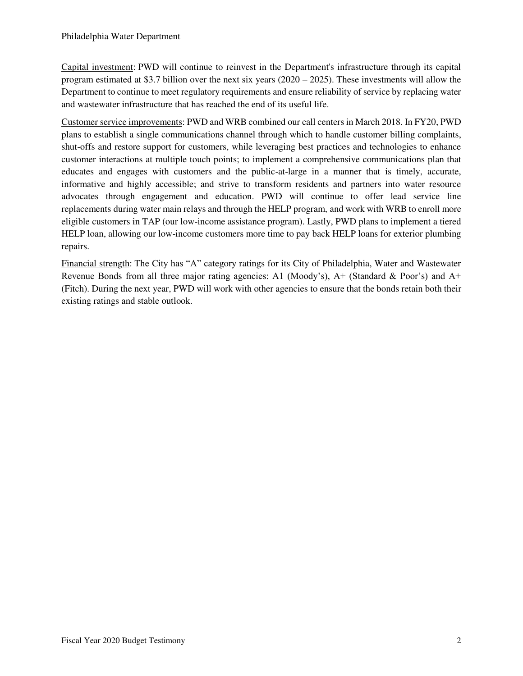Capital investment: PWD will continue to reinvest in the Department's infrastructure through its capital program estimated at \$3.7 billion over the next six years (2020 – 2025). These investments will allow the Department to continue to meet regulatory requirements and ensure reliability of service by replacing water and wastewater infrastructure that has reached the end of its useful life.

Customer service improvements: PWD and WRB combined our call centers in March 2018. In FY20, PWD plans to establish a single communications channel through which to handle customer billing complaints, shut-offs and restore support for customers, while leveraging best practices and technologies to enhance customer interactions at multiple touch points; to implement a comprehensive communications plan that educates and engages with customers and the public-at-large in a manner that is timely, accurate, informative and highly accessible; and strive to transform residents and partners into water resource advocates through engagement and education. PWD will continue to offer lead service line replacements during water main relays and through the HELP program, and work with WRB to enroll more eligible customers in TAP (our low-income assistance program). Lastly, PWD plans to implement a tiered HELP loan, allowing our low-income customers more time to pay back HELP loans for exterior plumbing repairs.

Financial strength: The City has "A" category ratings for its City of Philadelphia, Water and Wastewater Revenue Bonds from all three major rating agencies: A1 (Moody's), A+ (Standard & Poor's) and A+ (Fitch). During the next year, PWD will work with other agencies to ensure that the bonds retain both their existing ratings and stable outlook.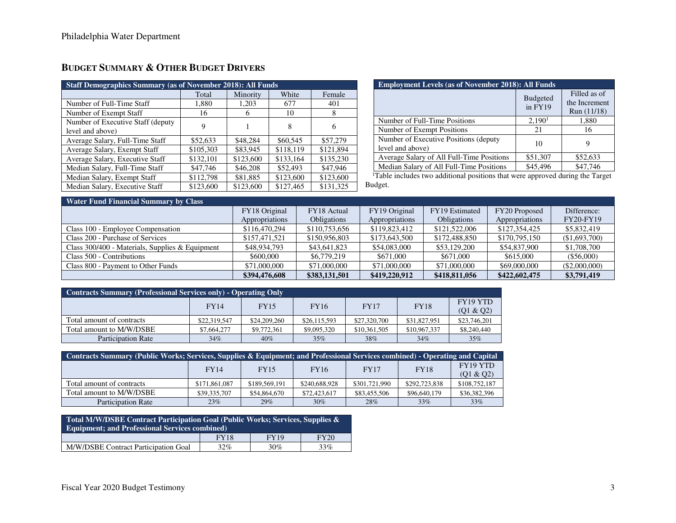# **BUDGET SUMMARY & OTHER BUDGET DRIVERS**

| <b>Staff Demographics Summary (as of November 2018): All Funds</b> |           |           |           |           |  |  |  |
|--------------------------------------------------------------------|-----------|-----------|-----------|-----------|--|--|--|
|                                                                    | Total     | Minority  | White     | Female    |  |  |  |
| Number of Full-Time Staff                                          | 1,880     | 1,203     | 677       | 401       |  |  |  |
| Number of Exempt Staff                                             | 16        | h         | 10        | 8         |  |  |  |
| Number of Executive Staff (deputy)                                 | 9         |           | 8         | 6         |  |  |  |
| level and above)                                                   |           |           |           |           |  |  |  |
| Average Salary, Full-Time Staff                                    | \$52,633  | \$48,284  | \$60,545  | \$57,279  |  |  |  |
| Average Salary, Exempt Staff                                       | \$105,303 | \$83,945  | \$118.119 | \$121.894 |  |  |  |
| Average Salary, Executive Staff                                    | \$132,101 | \$123,600 | \$133,164 | \$135,230 |  |  |  |
| Median Salary, Full-Time Staff                                     | \$47,746  | \$46,208  | \$52,493  | \$47,946  |  |  |  |
| Median Salary, Exempt Staff                                        | \$112,798 | \$81,885  | \$123,600 | \$123,600 |  |  |  |
| Median Salary, Executive Staff                                     | \$123,600 | \$123,600 | \$127,465 | \$131,325 |  |  |  |

| <b>Employment Levels (as of November 2018): All Funds</b> |                            |                                              |  |  |  |
|-----------------------------------------------------------|----------------------------|----------------------------------------------|--|--|--|
|                                                           | <b>Budgeted</b><br>in FY19 | Filled as of<br>the Increment<br>Run (11/18) |  |  |  |
| Number of Full-Time Positions                             | 2,190 <sup>1</sup>         | 1,880                                        |  |  |  |
| Number of Exempt Positions                                | 21                         | 16                                           |  |  |  |
| Number of Executive Positions (deputy<br>level and above) | 10                         | O)                                           |  |  |  |
| Average Salary of All Full-Time Positions                 | \$51,307                   | \$52,633                                     |  |  |  |
| Median Salary of All Full-Time Positions                  | \$45,496                   | \$47,746                                     |  |  |  |

<sup>1</sup>Table includes two additional positions that were approved during the Target Budget.

| <b>Water Fund Financial Summary by Class</b>    |                |               |                |                    |                |                  |  |  |
|-------------------------------------------------|----------------|---------------|----------------|--------------------|----------------|------------------|--|--|
|                                                 | FY18 Original  | FY18 Actual   | FY19 Original  | FY19 Estimated     | FY20 Proposed  | Difference:      |  |  |
|                                                 | Appropriations | Obligations   | Appropriations | <b>Obligations</b> | Appropriations | <b>FY20-FY19</b> |  |  |
| Class 100 - Employee Compensation               | \$116,470,294  | \$110,753,656 | \$119,823,412  | \$121,522,006      | \$127,354,425  | \$5,832,419      |  |  |
| Class 200 - Purchase of Services                | \$157,471,521  | \$150,956,803 | \$173,643,500  | \$172,488,850      | \$170,795,150  | (\$1,693,700)    |  |  |
| Class 300/400 - Materials, Supplies & Equipment | \$48,934,793   | \$43,641,823  | \$54,083,000   | \$53,129,200       | \$54,837,900   | \$1,708,700      |  |  |
| Class 500 - Contributions                       | \$600,000      | \$6,779,219   | \$671,000      | \$671,000          | \$615,000      | $(\$56,000)$     |  |  |
| Class 800 - Payment to Other Funds              | \$71,000,000   | \$71,000,000  | \$71,000,000   | \$71,000,000       | \$69,000,000   | (\$2,000,000)    |  |  |
|                                                 | \$394,476,608  | \$383,131,501 | \$419,220,912  | \$418,811,056      | \$422,602,475  | \$3,791,419      |  |  |

| Contracts Summary (Professional Services only) - Operating Only |              |              |              |              |              |                      |  |  |
|-----------------------------------------------------------------|--------------|--------------|--------------|--------------|--------------|----------------------|--|--|
|                                                                 | <b>FY14</b>  | <b>FY15</b>  | <b>FY16</b>  | <b>FY17</b>  | <b>FY18</b>  | FY <sub>19</sub> YTD |  |  |
|                                                                 |              |              |              |              |              | (Q1 & Q2)            |  |  |
| Total amount of contracts                                       | \$22,319,547 | \$24,209,260 | \$26,115,593 | \$27,320,700 | \$31,827,951 | \$23,746,201         |  |  |
| Total amount to M/W/DSBE                                        | \$7,664,277  | \$9,772,361  | \$9,095,320  | \$10,361,505 | \$10,967,337 | \$8,240,440          |  |  |
| <b>Participation Rate</b>                                       | $34\%$       | 40%          | 35%          | 38%          | 34%          | 35%                  |  |  |

| Contracts Summary (Public Works; Services, Supplies & Equipment; and Professional Services combined) - Operating and Capital |               |               |               |               |               |                      |  |  |  |
|------------------------------------------------------------------------------------------------------------------------------|---------------|---------------|---------------|---------------|---------------|----------------------|--|--|--|
|                                                                                                                              | <b>FY14</b>   | <b>FY15</b>   | <b>FY16</b>   | <b>FY17</b>   | <b>FY18</b>   | FY <sub>19</sub> YTD |  |  |  |
|                                                                                                                              |               |               |               |               |               | (Q1 & Q2)            |  |  |  |
| Total amount of contracts                                                                                                    | \$171,861,087 | \$189,569,191 | \$240,688,928 | \$301,721,990 | \$292,723,838 | \$108,752,187        |  |  |  |
| Total amount to M/W/DSBE                                                                                                     | \$39,335,707  | \$54,864,670  | \$72,423,617  | \$83,455,506  | \$96,640,179  | \$36,382,396         |  |  |  |
| <b>Participation Rate</b>                                                                                                    | 23%           | 29%           | $30\%$        | 28%           | $33\%$        | 33%                  |  |  |  |

| Total M/W/DSBE Contract Participation Goal (Public Works; Services, Supplies &<br><b>Equipment: and Professional Services combined)</b> |             |             |             |  |  |  |
|-----------------------------------------------------------------------------------------------------------------------------------------|-------------|-------------|-------------|--|--|--|
|                                                                                                                                         | <b>FY18</b> | <b>FY19</b> | <b>FY20</b> |  |  |  |
| M/W/DSBE Contract Participation Goal                                                                                                    | 32%         | 30%         | 33%         |  |  |  |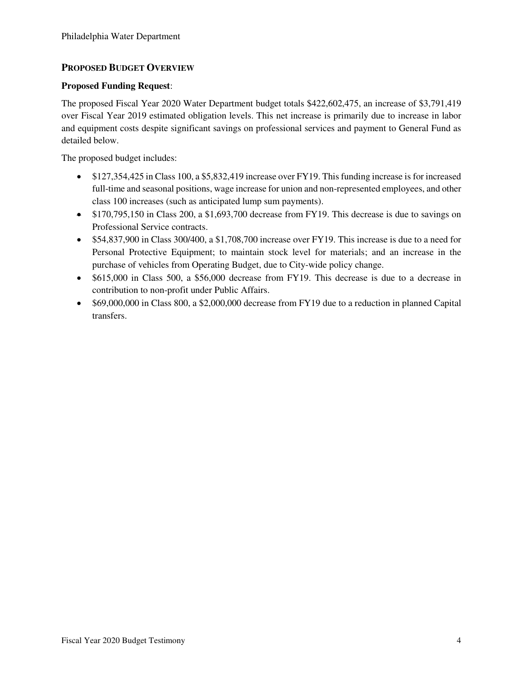## **PROPOSED BUDGET OVERVIEW**

## **Proposed Funding Request**:

The proposed Fiscal Year 2020 Water Department budget totals \$422,602,475, an increase of \$3,791,419 over Fiscal Year 2019 estimated obligation levels. This net increase is primarily due to increase in labor and equipment costs despite significant savings on professional services and payment to General Fund as detailed below.

The proposed budget includes:

- \$127,354,425 in Class 100, a \$5,832,419 increase over FY19. This funding increase is for increased full-time and seasonal positions, wage increase for union and non-represented employees, and other class 100 increases (such as anticipated lump sum payments).
- \$170,795,150 in Class 200, a \$1,693,700 decrease from FY19. This decrease is due to savings on Professional Service contracts.
- \$54,837,900 in Class 300/400, a \$1,708,700 increase over FY19. This increase is due to a need for Personal Protective Equipment; to maintain stock level for materials; and an increase in the purchase of vehicles from Operating Budget, due to City-wide policy change.
- \$615,000 in Class 500, a \$56,000 decrease from FY19. This decrease is due to a decrease in contribution to non-profit under Public Affairs.
- \$69,000,000 in Class 800, a \$2,000,000 decrease from FY19 due to a reduction in planned Capital transfers.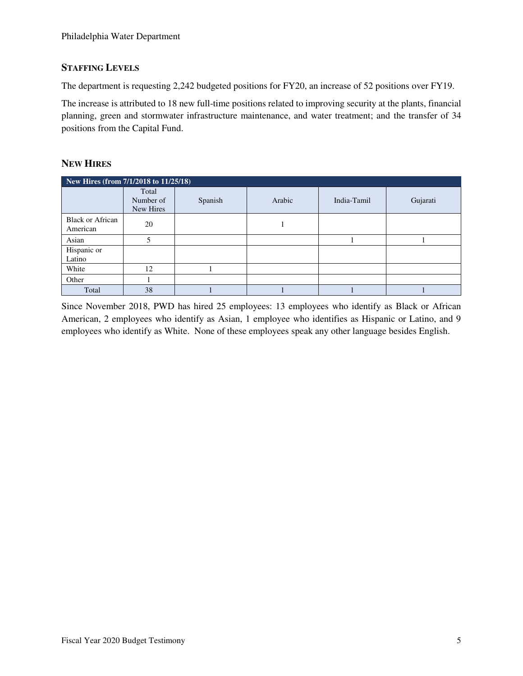## **STAFFING LEVELS**

The department is requesting 2,242 budgeted positions for FY20, an increase of 52 positions over FY19.

The increase is attributed to 18 new full-time positions related to improving security at the plants, financial planning, green and stormwater infrastructure maintenance, and water treatment; and the transfer of 34 positions from the Capital Fund.

## **NEW HIRES**

| New Hires (from 7/1/2018 to 11/25/18) |                                 |         |        |             |          |  |  |  |
|---------------------------------------|---------------------------------|---------|--------|-------------|----------|--|--|--|
|                                       | Total<br>Number of<br>New Hires | Spanish | Arabic | India-Tamil | Gujarati |  |  |  |
| <b>Black or African</b><br>American   | 20                              |         |        |             |          |  |  |  |
| Asian                                 |                                 |         |        |             |          |  |  |  |
| Hispanic or<br>Latino                 |                                 |         |        |             |          |  |  |  |
| White                                 | 12                              |         |        |             |          |  |  |  |
| Other                                 |                                 |         |        |             |          |  |  |  |
| Total                                 | 38                              |         |        |             |          |  |  |  |

Since November 2018, PWD has hired 25 employees: 13 employees who identify as Black or African American, 2 employees who identify as Asian, 1 employee who identifies as Hispanic or Latino, and 9 employees who identify as White. None of these employees speak any other language besides English.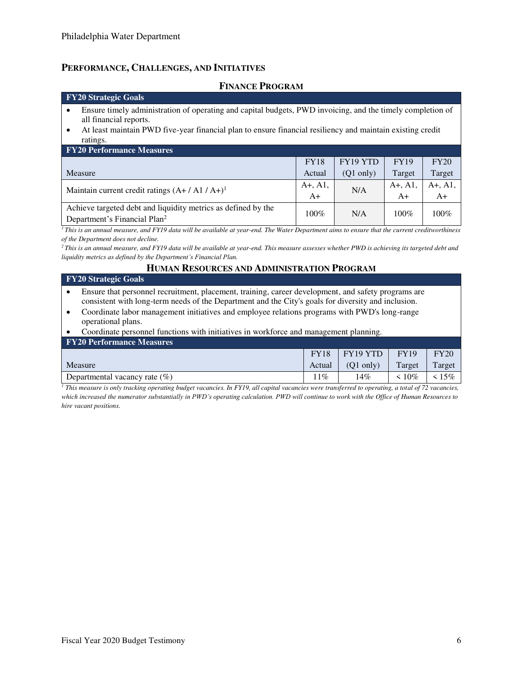## **PERFORMANCE, CHALLENGES, AND INITIATIVES**

### **FINANCE PROGRAM**

#### **FY20 Strategic Goals**

- Ensure timely administration of operating and capital budgets, PWD invoicing, and the timely completion of all financial reports.
- At least maintain PWD five-year financial plan to ensure financial resiliency and maintain existing credit ratings.

| <b>FY20 Performance Measures</b>                              |             |                     |             |           |
|---------------------------------------------------------------|-------------|---------------------|-------------|-----------|
|                                                               | <b>FY18</b> | FY19 YTD            | <b>FY19</b> | FY20      |
| Measure                                                       | Actual      | $(Q1 \text{ only})$ | Target      | Target    |
| Maintain current credit ratings $(A+ / A1 / A+)$ <sup>1</sup> |             | N/A                 | $A+, A1,$   | $A+, A1,$ |
|                                                               |             |                     | $A+$        | $A+$      |
| Achieve targeted debt and liquidity metrics as defined by the | $100\%$     | N/A                 | 100%        | $100\%$   |
| Department's Financial Plan <sup>2</sup>                      |             |                     |             |           |

<sup>1</sup>*This is an annual measure, and FY19 data will be available at year-end. The Water Department aims to ensure that the current creditworthiness of the Department does not decline.* 

*<sup>2</sup>This is an annual measure, and FY19 data will be available at year-end. This measure assesses whether PWD is achieving its targeted debt and liquidity metrics as defined by the Department's Financial Plan.* 

### **HUMAN RESOURCES AND ADMINISTRATION PROGRAM**

| <b>FY20 Strategic Goals</b>                                                                         |
|-----------------------------------------------------------------------------------------------------|
| Ensure that personnel recruitment, placement, training, career development, and safety programs are |
| consistent with long-term needs of the Department and the City's goals for diversity and inclusion. |
|                                                                                                     |

- Coordinate labor management initiatives and employee relations programs with PWD's long-range operational plans.
- Coordinate personnel functions with initiatives in workforce and management planning.

| <b>FY20 Performance Measures</b> |        |                       |             |        |
|----------------------------------|--------|-----------------------|-------------|--------|
|                                  |        | $FY18$   $FY19$ $YTD$ | <b>FY19</b> | FY20   |
| Measure                          | Actual | $(O1 \text{ only})$   | Target      | Target |
| Departmental vacancy rate $(\%)$ | $11\%$ | 14%                   | $\leq 10\%$ | 15%    |

*1 This measure is only tracking operating budget vacancies. In FY19, all capital vacancies were transferred to operating, a total of 72 vacancies, which increased the numerator substantially in PWD's operating calculation. PWD will continue to work with the Office of Human Resources to hire vacant positions.*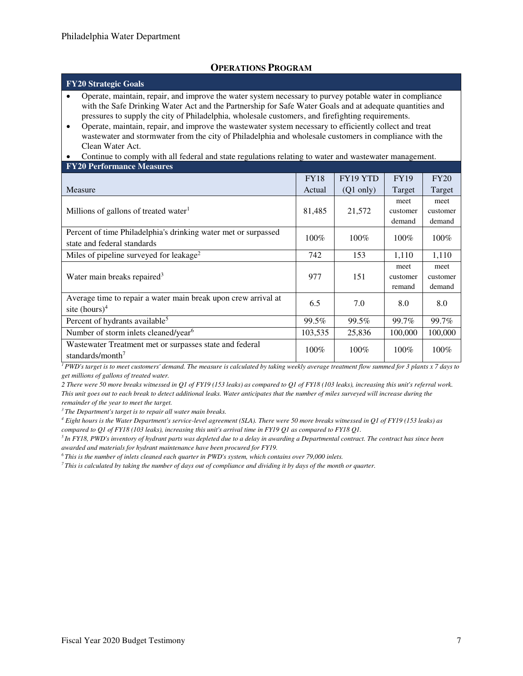## **OPERATIONS PROGRAM**

#### **FY20 Strategic Goals**

- Operate, maintain, repair, and improve the water system necessary to purvey potable water in compliance with the Safe Drinking Water Act and the Partnership for Safe Water Goals and at adequate quantities and pressures to supply the city of Philadelphia, wholesale customers, and firefighting requirements.
- Operate, maintain, repair, and improve the wastewater system necessary to efficiently collect and treat wastewater and stormwater from the city of Philadelphia and wholesale customers in compliance with the Clean Water Act.
- Continue to comply with all federal and state regulations relating to water and wastewater management.

| <b>FY20 Performance Measures</b> |  |
|----------------------------------|--|
|                                  |  |

|                                                                | <b>FY18</b> | FY19 YTD            | <b>FY19</b> | <b>FY20</b> |
|----------------------------------------------------------------|-------------|---------------------|-------------|-------------|
| Measure                                                        | Actual      | $(Q1 \text{ only})$ | Target      | Target      |
|                                                                |             |                     | meet        | meet        |
| Millions of gallons of treated water $1$                       | 81,485      | 21,572              | customer    | customer    |
|                                                                |             |                     | demand      | demand      |
| Percent of time Philadelphia's drinking water met or surpassed | $100\%$     | $100\%$             | 100%        | $100\%$     |
| state and federal standards                                    |             |                     |             |             |
| Miles of pipeline surveyed for leakage <sup>2</sup>            | 742         | 153                 | 1,110       | 1,110       |
|                                                                |             |                     | meet        | meet        |
| Water main breaks repaired <sup>3</sup>                        | 977         | 151                 | customer    | customer    |
|                                                                |             |                     | remand      | demand      |
| Average time to repair a water main break upon crew arrival at | 6.5         | 7.0                 | 8.0         | 8.0         |
| site $(hours)^4$                                               |             |                     |             |             |
| Percent of hydrants available <sup>5</sup>                     | 99.5%       | 99.5%               | 99.7%       | 99.7%       |
| Number of storm inlets cleaned/year <sup>6</sup>               | 103,535     | 25,836              | 100,000     | 100,000     |
| Wastewater Treatment met or surpasses state and federal        | $100\%$     | $100\%$             | $100\%$     | $100\%$     |
| standards/month <sup>7</sup>                                   |             |                     |             |             |

*<sup>1</sup>PWD's target is to meet customers' demand. The measure is calculated by taking weekly average treatment flow summed for 3 plants x 7 days to get millions of gallons of treated water.* 

*2 There were 50 more breaks witnessed in Q1 of FY19 (153 leaks) as compared to Q1 of FY18 (103 leaks), increasing this unit's referral work. This unit goes out to each break to detect additional leaks. Water anticipates that the number of miles surveyed will increase during the remainder of the year to meet the target.* 

*<sup>3</sup>The Department's target is to repair all water main breaks.* 

*4 Eight hours is the Water Department's service-level agreement (SLA). There were 50 more breaks witnessed in Q1 of FY19 (153 leaks) as compared to Q1 of FY18 (103 leaks), increasing this unit's arrival time in FY19 Q1 as compared to FY18 Q1.* 

*<sup>5</sup>In FY18, PWD's inventory of hydrant parts was depleted due to a delay in awarding a Departmental contract. The contract has since been awarded and materials for hydrant maintenance have been procured for FY19.* 

*<sup>6</sup>This is the number of inlets cleaned each quarter in PWD's system, which contains over 79,000 inlets.* 

*7 This is calculated by taking the number of days out of compliance and dividing it by days of the month or quarter.*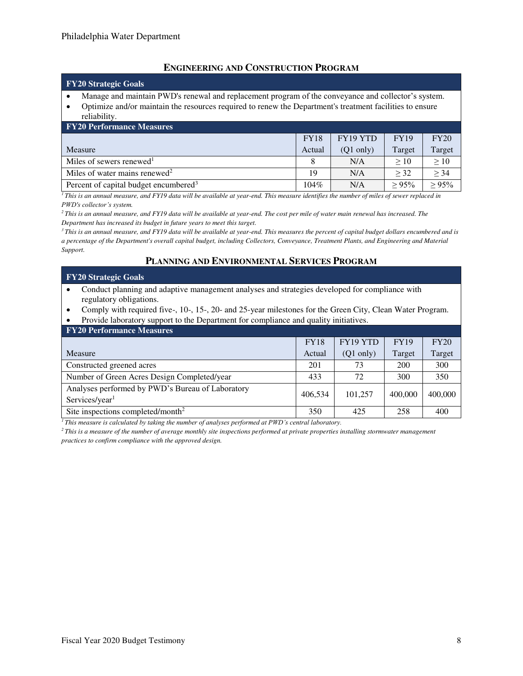## **ENGINEERING AND CONSTRUCTION PROGRAM**

#### **FY20 Strategic Goals**

- Manage and maintain PWD's renewal and replacement program of the conveyance and collector's system.
- Optimize and/or maintain the resources required to renew the Department's treatment facilities to ensure reliability.

| <b>FY20 Performance Measures</b>                  |             |                      |             |             |  |  |  |
|---------------------------------------------------|-------------|----------------------|-------------|-------------|--|--|--|
|                                                   | <b>FY18</b> | FY <sub>19</sub> YTD | <b>FY19</b> | FY20        |  |  |  |
| Measure                                           | Actual      | $(Q1 \text{ only})$  | Target      | Target      |  |  |  |
| Miles of sewers renewed <sup>1</sup>              |             | N/A                  | >10         | >10         |  |  |  |
| Miles of water mains renewed <sup>2</sup>         | 19          | N/A                  | > 32        | > 34        |  |  |  |
| Percent of capital budget encumbered <sup>3</sup> | 104%        | N/A                  | $> 95\%$    | $\geq 95\%$ |  |  |  |

<sup>1</sup>*This is an annual measure, and FY19 data will be available at year-end. This measure identifies the number of miles of sewer replaced in PWD's collector's system.* 

*<sup>2</sup>This is an annual measure, and FY19 data will be available at year-end. The cost per mile of water main renewal has increased. The Department has increased its budget in future years to meet this target.* 

*<sup>3</sup>This is an annual measure, and FY19 data will be available at year-end. This measures the percent of capital budget dollars encumbered and is a percentage of the Department's overall capital budget, including Collectors, Conveyance, Treatment Plants, and Engineering and Material Support.*

## **PLANNING AND ENVIRONMENTAL SERVICES PROGRAM**

#### **FY20 Strategic Goals**

- Conduct planning and adaptive management analyses and strategies developed for compliance with regulatory obligations.
- Comply with required five-, 10-, 15-, 20- and 25-year milestones for the Green City, Clean Water Program.
- Provide laboratory support to the Department for compliance and quality initiatives.

| <b>FY20 Performance Measures</b>                                               |             |                     |             |         |  |  |  |
|--------------------------------------------------------------------------------|-------------|---------------------|-------------|---------|--|--|--|
|                                                                                | <b>FY18</b> | FY19 YTD            | <b>FY19</b> | FY20    |  |  |  |
| Measure                                                                        | Actual      | $(Q1 \text{ only})$ | Target      | Target  |  |  |  |
| Constructed greened acres                                                      | 201         | 73                  | 200         | 300     |  |  |  |
| Number of Green Acres Design Completed/year                                    | 433         | 72                  | 300         | 350     |  |  |  |
| Analyses performed by PWD's Bureau of Laboratory<br>Services/year <sup>1</sup> | 406.534     | 101.257             | 400,000     | 400,000 |  |  |  |
| Site inspections completed/month <sup>2</sup>                                  | 350         | 425                 | 258         | 400     |  |  |  |

*<sup>1</sup>This measure is calculated by taking the number of analyses performed at PWD's central laboratory.*

*<sup>2</sup>This is a measure of the number of average monthly site inspections performed at private properties installing stormwater management practices to confirm compliance with the approved design.*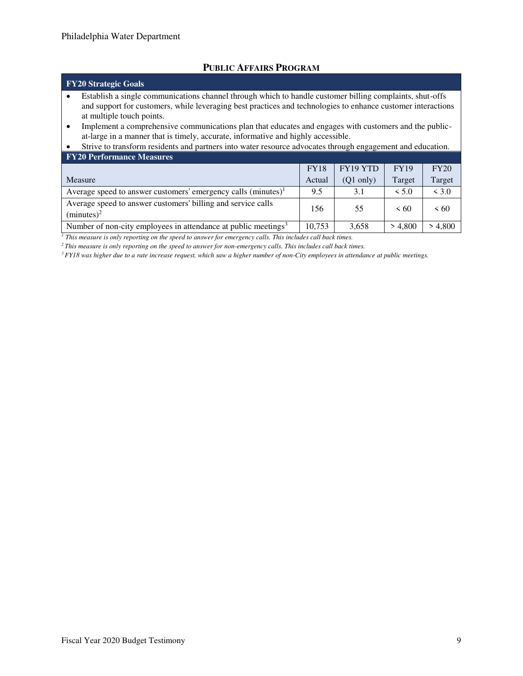## **PUBLIC AFFAIRS PROGRAM**

# **FY20 Strategic Goals**

- Establish a single communications channel through which to handle customer billing complaints, shut-offs and support for customers, while leveraging best practices and technologies to enhance customer interactions at multiple touch points.
- Implement a comprehensive communications plan that educates and engages with customers and the publicat-large in a manner that is timely, accurate, informative and highly accessible.

## • Strive to transform residents and partners into water resource advocates through engagement and education. **FY20 Performance Measures**

|                                                                               | <b>FY18</b> | FY19 YTD            | <b>FY19</b> | FY20      |
|-------------------------------------------------------------------------------|-------------|---------------------|-------------|-----------|
| Measure                                                                       | Actual      | $(Q1 \text{ only})$ | Target      | Target    |
| Average speed to answer customers' emergency calls $(minutes)^1$              | 9.5         | 3.1                 | < 5.0       | < 3.0     |
| Average speed to answer customers' billing and service calls<br>$(minutes)^2$ | 156         | 55                  | $\leq 60$   | $\leq 60$ |
| Number of non-city employees in attendance at public meetings <sup>3</sup>    | 10,753      | 3.658               | > 4.800     | > 4,800   |

<sup>1</sup> This measure is only reporting on the speed to answer for emergency calls. This includes call back times.

*<sup>2</sup>This measure is only reporting on the speed to answer for non-emergency calls. This includes call back times.* 

*3 FY18 was higher due to a rate increase request, which saw a higher number of non-City employees in attendance at public meetings.*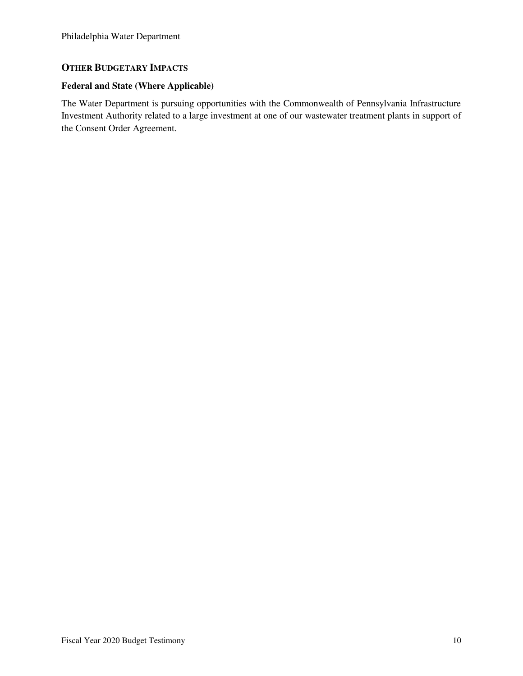## **OTHER BUDGETARY IMPACTS**

## **Federal and State (Where Applicable)**

The Water Department is pursuing opportunities with the Commonwealth of Pennsylvania Infrastructure Investment Authority related to a large investment at one of our wastewater treatment plants in support of the Consent Order Agreement.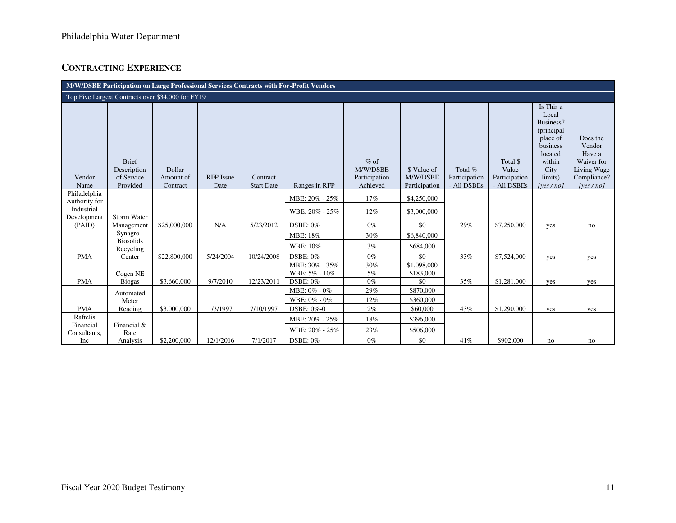# **CONTRACTING EXPERIENCE**

| M/W/DSBE Participation on Large Professional Services Contracts with For-Profit Vendors |                                                       |                                 |                          |                               |                                                |                                                 |                                          |                                         |                                                   |                                                                                                                             |                                                                                      |
|-----------------------------------------------------------------------------------------|-------------------------------------------------------|---------------------------------|--------------------------|-------------------------------|------------------------------------------------|-------------------------------------------------|------------------------------------------|-----------------------------------------|---------------------------------------------------|-----------------------------------------------------------------------------------------------------------------------------|--------------------------------------------------------------------------------------|
| Top Five Largest Contracts over \$34,000 for FY19                                       |                                                       |                                 |                          |                               |                                                |                                                 |                                          |                                         |                                                   |                                                                                                                             |                                                                                      |
| Vendor<br>Name                                                                          | <b>Brief</b><br>Description<br>of Service<br>Provided | Dollar<br>Amount of<br>Contract | <b>RFP</b> Issue<br>Date | Contract<br><b>Start Date</b> | Ranges in RFP                                  | $%$ of<br>M/W/DSBE<br>Participation<br>Achieved | \$ Value of<br>M/W/DSBE<br>Participation | Total %<br>Participation<br>- All DSBEs | Total \$<br>Value<br>Participation<br>- All DSBEs | Is This a<br>Local<br>Business?<br>(principal<br>place of<br>business<br>located<br>within<br>City<br>limits)<br>[yes / no] | Does the<br>Vendor<br>Have a<br>Waiver for<br>Living Wage<br>Compliance?<br>[yes/no] |
| Philadelphia                                                                            |                                                       |                                 |                          |                               | MBE: 20% - 25%                                 | 17%                                             | \$4,250,000                              |                                         |                                                   |                                                                                                                             |                                                                                      |
| Authority for<br>Industrial                                                             | Storm Water                                           |                                 |                          |                               | WBE: 20% - 25%                                 | 12%                                             | \$3,000,000                              |                                         |                                                   |                                                                                                                             |                                                                                      |
| Development<br>(PAID)                                                                   | Management                                            | \$25,000,000                    | N/A                      | 5/23/2012                     | DSBE: 0%                                       | $0\%$                                           | \$0                                      | 29%                                     | \$7,250,000                                       | yes                                                                                                                         | no                                                                                   |
|                                                                                         | Synagro -                                             |                                 |                          |                               | MBE: 18%                                       | 30%                                             | \$6,840,000                              |                                         |                                                   |                                                                                                                             |                                                                                      |
|                                                                                         | <b>Biosolids</b><br>Recycling                         |                                 |                          |                               | WBE: 10%                                       | 3%                                              | \$684,000                                |                                         |                                                   |                                                                                                                             |                                                                                      |
| <b>PMA</b>                                                                              | Center                                                | \$22,800,000                    | 5/24/2004                | 10/24/2008                    | $DSBE: 0\%$                                    | $0\%$                                           | \$0                                      | 33%                                     | \$7,524,000                                       | yes                                                                                                                         | yes                                                                                  |
| <b>PMA</b>                                                                              | Cogen NE<br><b>Biogas</b>                             | \$3,660,000                     | 9/7/2010                 | 12/23/2011                    | MBE: 30% - 35%<br>WBE: 5% - 10%<br>$DSBE: 0\%$ | 30%<br>5%<br>$0\%$                              | \$1,098,000<br>\$183,000<br>\$0          | 35%                                     | \$1,281,000                                       | yes                                                                                                                         | yes                                                                                  |
|                                                                                         | Automated                                             |                                 |                          |                               | MBE: 0% - 0%                                   | 29%                                             | \$870,000                                |                                         |                                                   |                                                                                                                             |                                                                                      |
|                                                                                         | Meter                                                 |                                 |                          |                               | WBE: 0% - 0%                                   | 12%                                             | \$360,000                                |                                         |                                                   |                                                                                                                             |                                                                                      |
| <b>PMA</b><br>Raftelis                                                                  | Reading                                               | \$3,000,000                     | 1/3/1997                 | 7/10/1997                     | DSBE: 0%-0                                     | 2%                                              | \$60,000                                 | 43%                                     | \$1,290,000                                       | yes                                                                                                                         | yes                                                                                  |
| Financial                                                                               | Financial &                                           |                                 |                          |                               | MBE: 20% - 25%                                 | 18%                                             | \$396,000                                |                                         |                                                   |                                                                                                                             |                                                                                      |
| Consultants,                                                                            | Rate                                                  |                                 |                          |                               | WBE: 20% - 25%                                 | 23%                                             | \$506,000                                |                                         |                                                   |                                                                                                                             |                                                                                      |
| Inc                                                                                     | Analysis                                              | \$2,200,000                     | 12/1/2016                | 7/1/2017                      | <b>DSBE: 0%</b>                                | $0\%$                                           | \$0                                      | 41%                                     | \$902,000                                         | no                                                                                                                          | no                                                                                   |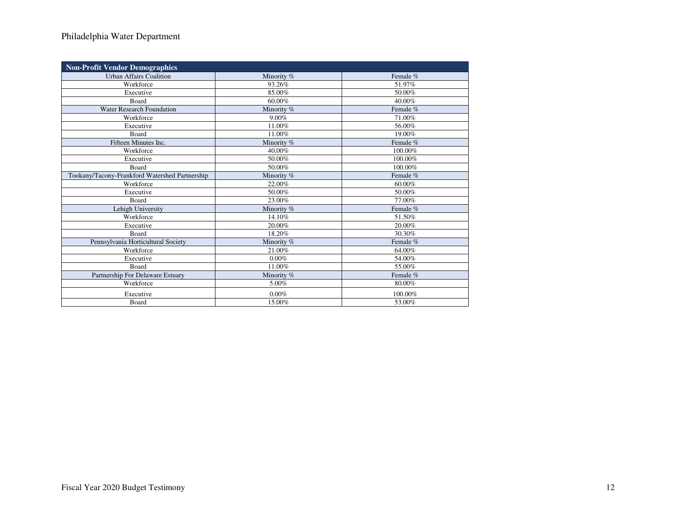## Philadelphia Water Department

| <b>Non-Profit Vendor Demographics</b>          |            |          |  |  |  |  |
|------------------------------------------------|------------|----------|--|--|--|--|
| <b>Urban Affairs Coalition</b>                 | Minority % | Female % |  |  |  |  |
| Workforce                                      | 93.26%     | 51.97%   |  |  |  |  |
| Executive                                      | 85.00%     | 50.00%   |  |  |  |  |
| Board                                          | 60.00%     | 40.00%   |  |  |  |  |
| <b>Water Research Foundation</b>               | Minority % | Female % |  |  |  |  |
| Workforce                                      | 9.00%      | 71.00%   |  |  |  |  |
| Executive                                      | 11.00%     | 56.00%   |  |  |  |  |
| <b>Board</b>                                   | 11.00%     | 19.00%   |  |  |  |  |
| Fifteen Minutes Inc.                           | Minority % | Female % |  |  |  |  |
| Workforce                                      | 40.00%     | 100.00%  |  |  |  |  |
| Executive                                      | 50.00%     | 100.00%  |  |  |  |  |
| Board                                          | 50.00%     | 100.00%  |  |  |  |  |
| Tookany/Tacony-Frankford Watershed Partnership | Minority % | Female % |  |  |  |  |
| Workforce                                      | 22.00%     | 60.00%   |  |  |  |  |
| Executive                                      | 50.00%     | 50.00%   |  |  |  |  |
| Board                                          | 23.00%     | 77.00%   |  |  |  |  |
| Lehigh University                              | Minority % | Female % |  |  |  |  |
| Workforce                                      | 14.10%     | 51.50%   |  |  |  |  |
| Executive                                      | 20.00%     | 20.00%   |  |  |  |  |
| Board                                          | 18.20%     | 30.30%   |  |  |  |  |
| Pennsylvania Horticultural Society             | Minority % | Female % |  |  |  |  |
| Workforce                                      | 21.00%     | 64.00%   |  |  |  |  |
| Executive                                      | 0.00%      | 54.00%   |  |  |  |  |
| Board                                          | 11.00%     | 55.00%   |  |  |  |  |
| Partnership For Delaware Estuary               | Minority % | Female % |  |  |  |  |
| Workforce                                      | 5.00%      | 80.00%   |  |  |  |  |
| Executive                                      | $0.00\%$   | 100.00%  |  |  |  |  |
| Board                                          | 15.00%     | 53.00%   |  |  |  |  |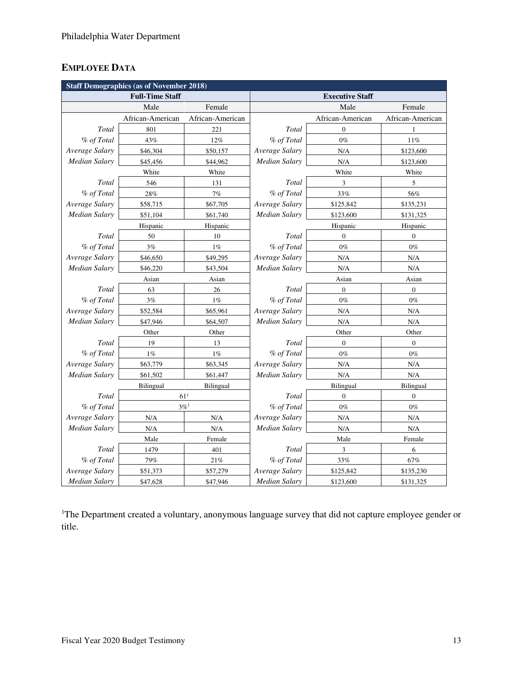# **EMPLOYEE DATA**

| <b>Staff Demographics (as of November 2018)</b> |                        |                    |                      |                        |                  |  |  |
|-------------------------------------------------|------------------------|--------------------|----------------------|------------------------|------------------|--|--|
|                                                 | <b>Full-Time Staff</b> |                    |                      | <b>Executive Staff</b> |                  |  |  |
|                                                 | Male                   | Female             |                      | Male                   | Female           |  |  |
|                                                 | African-American       | African-American   |                      | African-American       | African-American |  |  |
| Total                                           | 801                    | 221                | Total                | $\boldsymbol{0}$       | 1                |  |  |
| % of Total                                      | 43%                    | $12\%$             | % of Total           | $0\%$                  | $11\%$           |  |  |
| Average Salary                                  | \$46,304               | \$50,157           | Average Salary       | N/A                    | \$123,600        |  |  |
| Median Salary                                   | \$45,456               | \$44,962           | <b>Median Salary</b> | N/A                    | \$123,600        |  |  |
|                                                 | White                  | White              | White<br>White       |                        |                  |  |  |
| Total                                           | 546                    | 131                | Total                | 3                      | 5                |  |  |
| % of Total                                      | 28%                    | 7%                 | % of Total           | 33%                    | 56%              |  |  |
| Average Salary                                  | \$58,715               | \$67,705           | Average Salary       | \$125,842              | \$135,231        |  |  |
| Median Salary                                   | \$51,104               | \$61,740           | <b>Median Salary</b> | \$123,600              | \$131,325        |  |  |
|                                                 | Hispanic               | Hispanic           |                      | Hispanic               | Hispanic         |  |  |
| Total                                           | 50                     | 10                 | Total                | $\boldsymbol{0}$       | $\boldsymbol{0}$ |  |  |
| % of Total                                      | 3%                     | $1\%$              | % of Total           | $0\%$                  | $0\%$            |  |  |
| Average Salary                                  | \$46,650               | \$49,295           | Average Salary       | N/A                    | N/A              |  |  |
| Median Salary                                   | \$46,220               | \$43,504           | <b>Median Salary</b> | N/A                    | N/A              |  |  |
|                                                 | Asian                  | Asian              |                      | Asian                  | Asian            |  |  |
| Total                                           | 63                     | 26                 | Total                | $\boldsymbol{0}$       | $\boldsymbol{0}$ |  |  |
| % of Total                                      | $3\%$                  | $1\%$              | % of Total           | $0\%$                  | $0\%$            |  |  |
| Average Salary                                  | \$52,584               | \$65,961           | Average Salary       | N/A                    | N/A              |  |  |
| <b>Median Salary</b>                            | \$47,946               | \$64,507           | <b>Median Salary</b> | N/A                    | N/A              |  |  |
|                                                 | Other                  | Other              | Other<br>Other       |                        |                  |  |  |
| Total                                           | 19                     | 13                 | Total                | $\boldsymbol{0}$       | $\boldsymbol{0}$ |  |  |
| % of Total                                      | 1%                     | $1\%$              | % of Total           | $0\%$                  | $0\%$            |  |  |
| Average Salary                                  | \$63,779               | \$63,345           | Average Salary       | N/A                    | N/A              |  |  |
| <b>Median Salary</b>                            | \$61,502               | \$61,447           | <b>Median Salary</b> | N/A                    | N/A              |  |  |
|                                                 | <b>Bilingual</b>       | <b>Bilingual</b>   |                      | Bilingual              | Bilingual        |  |  |
| Total                                           |                        | 61 <sup>1</sup>    | Total                | $\boldsymbol{0}$       | $\boldsymbol{0}$ |  |  |
| % of Total                                      |                        | $3\%$ <sup>1</sup> | % of Total           | $0\%$                  | $0\%$            |  |  |
| Average Salary                                  | N/A                    | N/A                | Average Salary       | N/A                    | N/A              |  |  |
| Median Salary                                   | N/A                    | N/A                | <b>Median Salary</b> | N/A                    | N/A              |  |  |
| Male                                            |                        | Female             | Male                 |                        | Female           |  |  |
| Total                                           | 1479                   | 401                | Total                | 3                      | 6                |  |  |
| % of Total                                      | 79%                    | $21\%$             | % of Total           | 33%                    | 67%              |  |  |
| Average Salary                                  | \$51,373               | \$57,279           | Average Salary       | \$125,842              | \$135,230        |  |  |
| Median Salary                                   | \$47,628               | \$47,946           | <b>Median Salary</b> | \$123,600              | \$131,325        |  |  |

<sup>1</sup>The Department created a voluntary, anonymous language survey that did not capture employee gender or title.